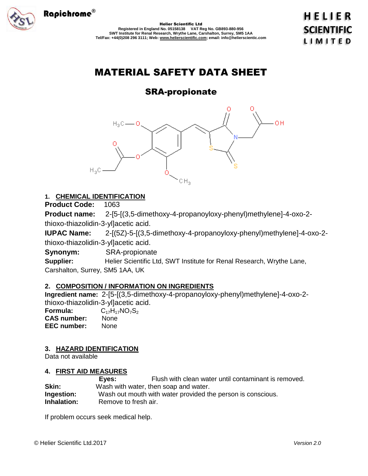

Helier Scientific Ltd **Registered in England No. 05158138 VAT Reg No. GB893-880-956 SWT Institute for Renal Research, Wrythe Lane, Carshalton, Surrey, SM5 1AA Tel/Fax: +44(0)208 296 3111; Web: www.helierscientific.com; email: info@helierscientic.com** 

# MATERIAL SAFETY DATA SHEET

# SRA-propionate



## **1. CHEMICAL IDENTIFICATION**

**Product Code:** 1063

**Product name:** 2-[5-[(3,5-dimethoxy-4-propanoyloxy-phenyl)methylene]-4-oxo-2 thioxo-thiazolidin-3-yl]acetic acid.

**IUPAC Name:** 2-[(5Z)-5-[(3,5-dimethoxy-4-propanoyloxy-phenyl)methylene]-4-oxo-2 thioxo-thiazolidin-3-yl]acetic acid.

**Synonym:** SRA-propionate

**Supplier:** Helier Scientific Ltd, SWT Institute for Renal Research, Wrythe Lane, Carshalton, Surrey, SM5 1AA, UK

## **2. COMPOSITION / INFORMATION ON INGREDIENTS**

**Ingredient name:** 2-[5-[(3,5-dimethoxy-4-propanoyloxy-phenyl)methylene]-4-oxo-2 thioxo-thiazolidin-3-yl]acetic acid. **Formula:** C<sub>17</sub>H<sub>17</sub>NO<sub>7</sub>S<sub>2</sub><br>**CAS number:** None **CAS number: EEC number:** None

### **3. HAZARD IDENTIFICATION**

Data not available

### **4. FIRST AID MEASURES**

|             | Eves:                | Flush with clean water until contaminant is removed.        |
|-------------|----------------------|-------------------------------------------------------------|
| Skin:       |                      | Wash with water, then soap and water.                       |
| Ingestion:  |                      | Wash out mouth with water provided the person is conscious. |
| Inhalation: | Remove to fresh air. |                                                             |

If problem occurs seek medical help.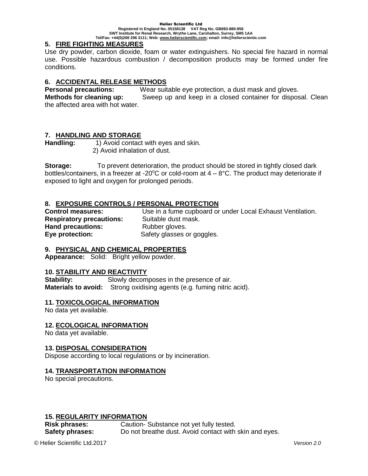#### Helier Scientific Ltd **Registered in England No. 05158138 VAT Reg No. GB893-880-956 SWT Institute for Renal Research, Wrythe Lane, Carshalton, Surrey, SM5 1AA Tel/Fax: +44(0)208 296 3111; Web: www.helierscientific.com; email: info@helierscientic.com**

#### **5. FIRE FIGHTING MEASURES**

Use dry powder, carbon dioxide, foam or water extinguishers. No special fire hazard in normal use. Possible hazardous combustion / decomposition products may be formed under fire conditions.

#### **6. ACCIDENTAL RELEASE METHODS**

**Personal precautions:** Wear suitable eye protection, a dust mask and gloves.

**Methods for cleaning up:** Sweep up and keep in a closed container for disposal. Clean the affected area with hot water.

#### **7. HANDLING AND STORAGE**

Handling: 1) Avoid contact with eyes and skin. 2) Avoid inhalation of dust.

**Storage:** To prevent deterioration, the product should be stored in tightly closed dark bottles/containers, in a freezer at -20 $\degree$ C or cold-room at 4 – 8 $\degree$ C. The product may deteriorate if exposed to light and oxygen for prolonged periods.

#### **8. EXPOSURE CONTROLS / PERSONAL PROTECTION**

**Respiratory precautions:** Suitable dust mask. **Hand precautions:** Rubber gloves. **Eye protection:** Safety glasses or goggles.

**Control measures:** Use in a fume cupboard or under Local Exhaust Ventilation.

### **9. PHYSICAL AND CHEMICAL PROPERTIES**

**Appearance:** Solid: Bright yellow powder.

#### **10. STABILITY AND REACTIVITY**

**Stability:** Slowly decomposes in the presence of air. **Materials to avoid:** Strong oxidising agents (e.g. fuming nitric acid).

#### **11. TOXICOLOGICAL INFORMATION**

No data yet available.

#### **12. ECOLOGICAL INFORMATION**

No data yet available.

#### **13. DISPOSAL CONSIDERATION**

Dispose according to local regulations or by incineration.

#### **14. TRANSPORTATION INFORMATION**

No special precautions.

#### **15. REGULARITY INFORMATION**

**Risk phrases:** Caution- Substance not yet fully tested. **Safety phrases:** Do not breathe dust. Avoid contact with skin and eyes.